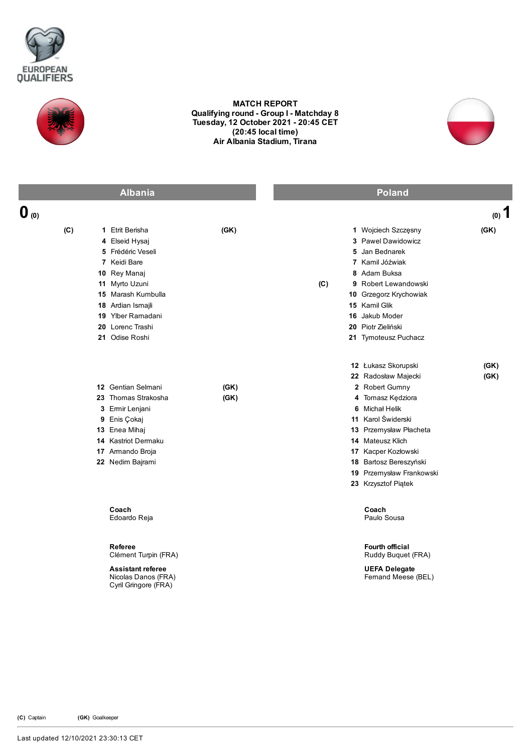



## MATCH REPORT Qualifying round - Group I - Matchday 8 Tuesday, 12 October 2021 20:45 CET (20:45 local time) Air Albania Stadium, Tirana



|                  | <b>Albania</b>                                                                                                                                                                                                 |              | <b>Poland</b>                                                                                                                                                                                                                                                                               |
|------------------|----------------------------------------------------------------------------------------------------------------------------------------------------------------------------------------------------------------|--------------|---------------------------------------------------------------------------------------------------------------------------------------------------------------------------------------------------------------------------------------------------------------------------------------------|
| $\mathbf{0}$ (0) |                                                                                                                                                                                                                |              | $(0)$ 1                                                                                                                                                                                                                                                                                     |
| (C)              | 1 Etrit Berisha<br>4 Elseid Hysaj<br>5 Frédéric Veseli<br>7 Keidi Bare<br>10 Rey Manaj<br>11 Myrto Uzuni<br>15 Marash Kumbulla<br>18 Ardian Ismajli<br>19 Ylber Ramadani<br>20 Lorenc Trashi<br>21 Odise Roshi | (GK)         | 1 Wojciech Szczęsny<br>(GK)<br>3 Pawel Dawidowicz<br>5 Jan Bednarek<br>7 Kamil Jóźwiak<br>8 Adam Buksa<br>9 Robert Lewandowski<br>(C)<br>10 Grzegorz Krychowiak<br>15 Kamil Glik<br>16 Jakub Moder<br>20 Piotr Zieliński<br>21 Tymoteusz Puchacz                                            |
|                  | 12 Gentian Selmani<br>23 Thomas Strakosha<br>3 Ermir Lenjani<br>9 Enis Çokaj<br>13 Enea Mihaj<br>14 Kastriot Dermaku<br>17 Armando Broja<br>22 Nedim Bajrami                                                   | (GK)<br>(GK) | 12 Łukasz Skorupski<br>(GK)<br>22 Radosław Majecki<br>(GK)<br>2 Robert Gumny<br>4 Tomasz Kędziora<br>6 Michał Helik<br>11 Karol Świderski<br>13 Przemysław Płacheta<br>14 Mateusz Klich<br>17 Kacper Kozłowski<br>18 Bartosz Bereszyński<br>19 Przemysław Frankowski<br>23 Krzysztof Piątek |
|                  | Coach<br>Edoardo Reja                                                                                                                                                                                          |              | Coach<br>Paulo Sousa                                                                                                                                                                                                                                                                        |
|                  | Referee<br>Clément Turpin (FRA)<br><b>Assistant referee</b><br>Nicolas Danos (FRA)<br>Cyril Gringore (FRA)                                                                                                     |              | Fourth official<br>Ruddy Buquet (FRA)<br><b>UEFA Delegate</b><br>Femand Meese (BEL)                                                                                                                                                                                                         |